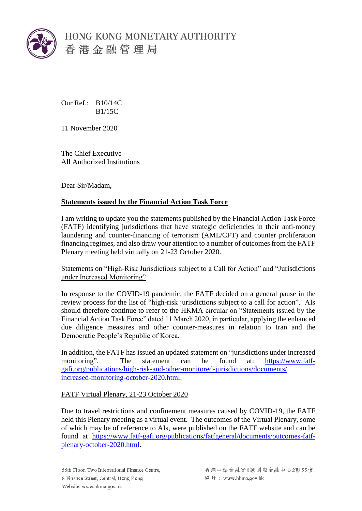

HONG KONG MONETARY AUTHORITY 香港金融管理局

Our Ref.: B10/14C  $R1/15C$ 

11 November 2020

The Chief Executive All Authorized Institutions

Dear Sir/Madam,

## **Statements issued by the Financial Action Task Force**

I am writing to update you the statements published by the Financial Action Task Force (FATF) identifying jurisdictions that have strategic deficiencies in their anti-money laundering and counter-financing of terrorism (AML/CFT) and counter proliferation financing regimes, and also draw your attention to a number of outcomes from the FATF Plenary meeting held virtually on 21-23 October 2020.

Statements on "High-Risk Jurisdictions subject to a Call for Action" and "Jurisdictions under Increased Monitoring"

In response to the COVID-19 pandemic, the FATF decided on a general pause in the review process for the list of "high-risk jurisdictions subject to a call for action". AIs should therefore continue to refer to the HKMA circular on "Statements issued by the Financial Action Task Force" dated 11 March 2020, in particular, applying the enhanced due diligence measures and other counter-measures in relation to Iran and the Democratic People's Republic of Korea.

In addition, the FATF has issued an updated statement on "jurisdictions under increased monitoring". The statement can be found at: [https://www.fatf](https://www.fatf-gafi.org/publications/high-risk-and-other-monitored-jurisdictions/documents/increased-monitoring-october-2020.html)[gafi.org/publications/high-risk-and-other-monitored-jurisdictions/documents/](https://www.fatf-gafi.org/publications/high-risk-and-other-monitored-jurisdictions/documents/increased-monitoring-october-2020.html)  [increased-monitoring-october-2020.html.](https://www.fatf-gafi.org/publications/high-risk-and-other-monitored-jurisdictions/documents/increased-monitoring-october-2020.html)

## FATF Virtual Plenary, 21-23 October 2020

Due to travel restrictions and confinement measures caused by COVID-19, the FATF held this Plenary meeting as a virtual event. The outcomes of the Virtual Plenary, some of which may be of reference to AIs, were published on the FATF website and can be found at [https://www.fatf-gafi.org/publications/fatfgeneral/documents/outcomes-fatf](https://www.fatf-gafi.org/publications/fatfgeneral/documents/outcomes-fatf-plenary-october-2020.html)[plenary-october-2020.html.](https://www.fatf-gafi.org/publications/fatfgeneral/documents/outcomes-fatf-plenary-october-2020.html)